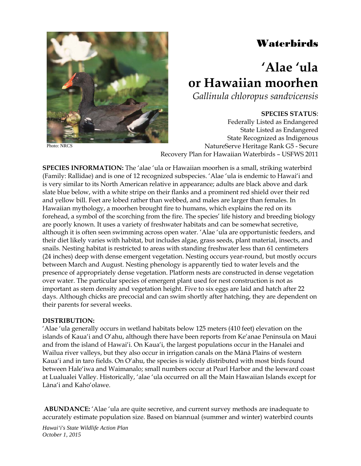# Waterbirds



Photo: NRCS

# **'Alae 'ula or Hawaiian moorhen**

*Gallinula chloropus sandvicensis*

# **SPECIES STATUS**:

Federally Listed as Endangered State Listed as Endangered State Recognized as Indigenous NatureServe Heritage Rank G5 - Secure Recovery Plan for Hawaiian Waterbirds – USFWS 2011

**SPECIES INFORMATION:** The 'alae 'ula or Hawaiian moorhen is a small, striking waterbird (Family: Rallidae) and is one of 12 recognized subspecies. 'Alae 'ula is endemic to Hawai'i and is very similar to its North American relative in appearance; adults are black above and dark slate blue below, with a white stripe on their flanks and a prominent red shield over their red and yellow bill. Feet are lobed rather than webbed, and males are larger than females. In Hawaiian mythology, a moorhen brought fire to humans, which explains the red on its forehead, a symbol of the scorching from the fire. The species' life history and breeding biology are poorly known. It uses a variety of freshwater habitats and can be somewhat secretive, although it is often seen swimming across open water. 'Alae 'ula are opportunistic feeders, and their diet likely varies with habitat, but includes algae, grass seeds, plant material, insects, and snails. Nesting habitat is restricted to areas with standing freshwater less than 61 centimeters (24 inches) deep with dense emergent vegetation. Nesting occurs year-round, but mostly occurs between March and August. Nesting phenology is apparently tied to water levels and the presence of appropriately dense vegetation. Platform nests are constructed in dense vegetation over water. The particular species of emergent plant used for nest construction is not as important as stem density and vegetation height. Five to six eggs are laid and hatch after 22 days. Although chicks are precocial and can swim shortly after hatching, they are dependent on their parents for several weeks.

#### **DISTRIBUTION:**

'Alae 'ula generally occurs in wetland habitats below 125 meters (410 feet) elevation on the islands of Kaua'i and O'ahu, although there have been reports from Ke'anae Peninsula on Maui and from the island of Hawai'i. On Kaua'i, the largest populations occur in the Hanalei and Wailua river valleys, but they also occur in irrigation canals on the Mānā Plains of western Kaua'i and in taro fields. On O'ahu, the species is widely distributed with most birds found between Hale'iwa and Waimanalo; small numbers occur at Pearl Harbor and the leeward coast at Lualualei Valley. Historically, 'alae 'ula occurred on all the Main Hawaiian Islands except for Lāna'i and Kaho'olawe.

**ABUNDANCE:** 'Alae 'ula are quite secretive, and current survey methods are inadequate to accurately estimate population size. Based on biannual (summer and winter) waterbird counts

*Hawai'i's State Wildlife Action Plan October 1, 2015*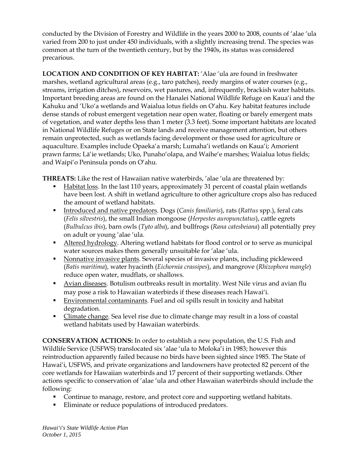conducted by the Division of Forestry and Wildlife in the years 2000 to 2008, counts of 'alae 'ula varied from 200 to just under 450 individuals, with a slightly increasing trend. The species was common at the turn of the twentieth century, but by the 1940s, its status was considered precarious.

**LOCATION AND CONDITION OF KEY HABITAT:** 'Alae 'ula are found in freshwater marshes, wetland agricultural areas (e.g., taro patches), reedy margins of water courses (e.g., streams, irrigation ditches), reservoirs, wet pastures, and, infrequently, brackish water habitats. Important breeding areas are found on the Hanalei National Wildlife Refuge on Kaua'i and the Kahuku and 'Uko'a wetlands and Waialua lotus fields on O'ahu. Key habitat features include dense stands of robust emergent vegetation near open water, floating or barely emergent mats of vegetation, and water depths less than 1 meter (3.3 feet). Some important habitats are located in National Wildlife Refuges or on State lands and receive management attention, but others remain unprotected, such as wetlands facing development or those used for agriculture or aquaculture. Examples include Opaeka'a marsh; Lumaha'i wetlands on Kaua'i; Amorient prawn farms; Lā'ie wetlands; Uko, Punaho'olapa, and Waihe'e marshes; Waialua lotus fields; and Waipi'o Peninsula ponds on O'ahu.

**THREATS:** Like the rest of Hawaiian native waterbirds, 'alae 'ula are threatened by:

- Habitat loss. In the last 110 years, approximately 31 percent of coastal plain wetlands have been lost. A shift in wetland agriculture to other agriculture crops also has reduced the amount of wetland habitats.
- Introduced and native predators. Dogs (*Canis familiaris*), rats (*Rattus* spp.), feral cats (*Felis silvestris*), the small Indian mongoose (*Herpestes auropunctatus*), cattle egrets (*Bulbulcus ibis*), barn owls (*Tyto alba*), and bullfrogs (*Rana catesbeiana*) all potentially prey on adult or young 'alae 'ula.
- Altered hydrology. Altering wetland habitats for flood control or to serve as municipal water sources makes them generally unsuitable for 'alae 'ula.
- Nonnative invasive plants. Several species of invasive plants, including pickleweed (*Batis maritima*), water hyacinth (*Eichornia crassipes*), and mangrove (*Rhizophora mangle*) reduce open water, mudflats, or shallows.
- Avian diseases. Botulism outbreaks result in mortality. West Nile virus and avian flu may pose a risk to Hawaiian waterbirds if these diseases reach Hawai'i.
- **Environmental contaminants.** Fuel and oil spills result in toxicity and habitat degradation.
- Climate change. Sea level rise due to climate change may result in a loss of coastal wetland habitats used by Hawaiian waterbirds.

**CONSERVATION ACTIONS:** In order to establish a new population, the U.S. Fish and Wildlife Service (USFWS) translocated six 'alae 'ula to Moloka'i in 1983; however this reintroduction apparently failed because no birds have been sighted since 1985. The State of Hawai'i, USFWS, and private organizations and landowners have protected 82 percent of the core wetlands for Hawaiian waterbirds and 17 percent of their supporting wetlands. Other actions specific to conservation of 'alae 'ula and other Hawaiian waterbirds should include the following:

- Continue to manage, restore, and protect core and supporting wetland habitats.
- Eliminate or reduce populations of introduced predators.

*Hawai'i's State Wildlife Action Plan October 1, 2015*